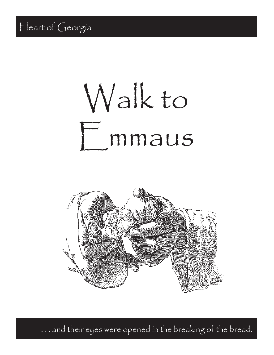# Walkto F mmaus



and their eyes were opened in the breaking of the bread.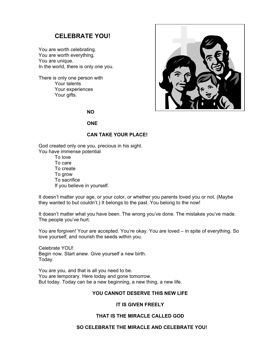# **CELEBRATE YOU!**

You are worth celebrating. You are worth everything. You are unique. In the world, there is only one you.

There is only one person with Your talents Your experiences Your gifts.



**NO**

### **ONE**

### **CAN TAKE YOUR PLACE!**

God created only one you, precious in his sight. You have immense potential

> To love To care To create To grow To sacrifice If you believe in yourself.

It doesn't matter your age, or your color, or whether you parents loved you or not. (Maybe they wanted to but couldn't.) It belongs to the past. You belong to the now!

It doesn't matter what you have been. The wrong you've done. The mistakes you've made. The people you've hurt.

You are forgiven! Your are accepted. You're okay. You are loved – in spite of everything. So love yourself, and nourish the seeds within you.

Celebrate YOU! Begin now. Start anew. Give yourself a new birth. Today.

You are you, and that is all you need to be. You are temporary. Here today and gone tomorrow. But today. Today can be a new beginning, a new thing, a new life.

### **YOU CANNOT DESERVE THIS NEW LIFE**

### **IT IS GIVEN FREELY**

### **THAT IS THE MIRACLE CALLED GOD**

### **SO CELEBRATE THE MIRACLE AND CELEBRATE YOU!**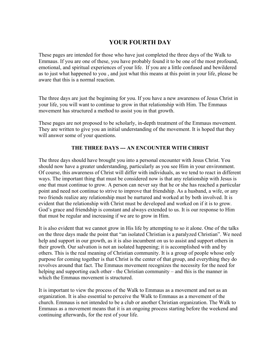# **YOUR FOURTH DAY**

These pages are intended for those who have just completed the three days of the Walk to Emmaus. If you are one of these, you have probably found it to be one of the most profound, emotional, and spiritual experiences of your life. If you are a little confused and bewildered as to just what happened to you , and just what this means at this point in your life, please be aware that this is a normal reaction.

The three days are just the beginning for you. If you have a new awareness of Jesus Christ in your life, you will want to continue to grow in that relationship with Him. The Emmaus movement has structured a method to assist you in that growth.

These pages are not proposed to be scholarly, in-depth treatment of the Emmaus movement. They are written to give you an initial understanding of the movement. It is hoped that they will answer some of your questions.

# **THE THREE DAYS --- AN ENCOUNTER WITH CHRIST**

The three days should have brought you into a personal encounter with Jesus Christ. You should now have a greater understanding, particularly as you see Him in your environment. Of course, this awareness of Christ will differ with individuals, as we tend to react in different ways. The important thing that must be considered now is that any relationship with Jesus is one that must continue to grow. A person can never say that he or she has reached a particular point and need not continue to strive to improve that friendship. As a husband, a wife, or any two friends realize any relationship must be nurtured and worked at by both involved. It is evident that the relationship with Christ must be developed and worked on if it is to grow. God's grace and friendship is constant and always extended to us. It is our response to Him that must be regular and increasing if we are to grow in Him.

It is also evident that we cannot grow in His life by attempting to so it alone. One of the talks on the three days made the point that "an isolated Christian is a paralyzed Christian". We need help and support in our growth, as it is also incumbent on us to assist and support others in their growth. Our salvation is not an isolated happening; it is accomplished with and by others. This is the real meaning of Christian community. It is a group of people whose only purpose for coming together is that Christ is the center of that group, and everything they do revolves around that fact. The Emmaus movement recognizes the necessity for the need for helping and supporting each other - the Christian community – and this is the manner in which the Emmaus movement is structured.

It is important to view the process of the Walk to Emmaus as a movement and not as an organization. It is also essential to perceive the Walk to Emmaus as a movement of the church. Emmaus is not intended to be a club or another Christian organization. The Walk to Emmaus as a movement means that it is an ongoing process starting before the weekend and continuing afterwards, for the rest of your life.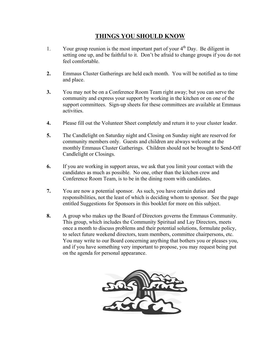# **THINGS YOU SHOULD KNOW**

- 1. Your group reunion is the most important part of your  $4<sup>th</sup>$  Day. Be diligent in setting one up, and be faithful to it. Don't be afraid to change groups if you do not feel comfortable.
- **2.** Emmaus Cluster Gatherings are held each month. You will be notified as to time and place.
- **3.** You may not be on a Conference Room Team right away; but you can serve the community and express your support by working in the kitchen or on one of the support committees. Sign-up sheets for these committees are available at Emmaus activities.
- **4.** Please fill out the Volunteer Sheet completely and return it to your cluster leader.
- **5.** The Candlelight on Saturday night and Closing on Sunday night are reserved for community members only. Guests and children are always welcome at the monthly Emmaus Cluster Gatherings. Children should not be brought to Send-Off Candlelight or Closings.
- **6.** If you are working in support areas, we ask that you limit your contact with the candidates as much as possible. No one, other than the kitchen crew and Conference Room Team, is to be in the dining room with candidates.
- **7.** You are now a potential sponsor. As such, you have certain duties and responsibilities, not the least of which is deciding whom to sponsor. See the page entitled Suggestions for Sponsors in this booklet for more on this subject.
- **8.** A group who makes up the Board of Directors governs the Emmaus Community. This group, which includes the Community Spiritual and Lay Directors, meets once a month to discuss problems and their potential solutions, formulate policy, to select future weekend directors, team members, committee chairpersons, etc. You may write to our Board concerning anything that bothers you or pleases you, and if you have something very important to propose, you may request being put on the agenda for personal appearance.

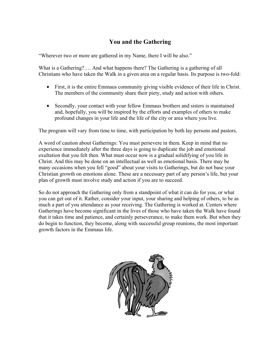# **You and the Gathering**

"Wherever two or more are gathered in my Name, there I will be also."

What is a Gathering?…. And what happens there? The Gathering is a gathering of all Christians who have taken the Walk in a given area on a regular basis. Its purpose is two-fold:

- First, it is the entire Emmaus community giving visible evidence of their life in Christ. The members of the community share their piety, study and action with others.
- Secondly, your contact with your fellow Emmaus brothers and sisters is maintained and, hopefully, you will be inspired by the efforts and examples of others to make profound changes in your life and the life of the city or area where you live.

The program will vary from time to time, with participation by both lay persons and pastors.

A word of caution about Gatherings: You must persevere in them. Keep in mind that no experience immediately after the three days is going to duplicate the job and emotional exultation that you felt then. What must occur now is a gradual solidifying of you life in Christ. And this may be done on an intellectual as well as emotional basis. There may be many occasions when you fell "good" about your visits to Gatherings, but do not base your Christian growth on emotions alone. These are a necessary part of any person's life, but your plan of growth must involve study and action if you are to succeed.

So do not approach the Gathering only from a standpoint of what it can do for you, or what you can get out of it. Rather, consider your input, your sharing and helping of others, to be as much a part of you attendance as your receiving. The Gathering is worked at. Centers where Gatherings have become significant in the lives of those who have taken the Walk have found that it takes time and patience, and certainly perseverance, to make them work. But when they do begin to function, they become, along with successful group reunions, the most important growth factors in the Emmaus life.

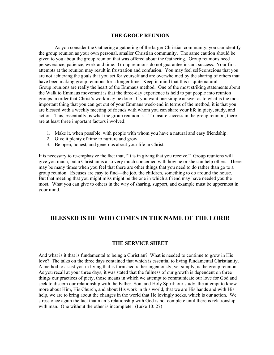### **THE GROUP REUNION**

As you consider the Gathering a gathering of the larger Christian community, you can identify the group reunion as your own personal, smaller Christian community. The same caution should be given to you about the group reunion that was offered about the Gathering. Group reunions need perseverance, patience, work and time. Group reunions do not guarantee instant success. Your first attempts at the reunion may result in frustration and confusion. You may feel self-conscious that you are not achieving the goals that you set for yourself and are overwhelmed by the sharing of others that have been making group reunions for a longer time. Keep in mind that this is quite natural. Group reunions are really the heart of the Emmaus method. One of the most striking statements about the Walk to Emmaus movement is that the three-day experience is held to put people into reunion groups in order that Christ's work may be done. If you want one simple answer as to what is the most important thing that you can get out of your Emmaus week-end in terms of the method, it is that you are blessed with a weekly meeting of friends with whom you can share your life in piety, study, and action. This, essentially, is what the group reunion is—To insure success in the group reunion, there are at least three important factors involved:

- 1. Make it, when possible, with people with whom you have a natural and easy friendship.
- 2. Give it plenty of time to nurture and grow.
- 3. Be open, honest, and generous about your life in Christ.

It is necessary to re-emphasize the fact that, "It is in giving that you receive." Group reunions will give you much, but a Christian is also very much concerned with how he or she can help others. There may be many times when you feel that there are other things that you need to do rather than go to a group reunion. Excuses are easy to find—the job, the children, something to do around the house. But that meeting that you might miss might be the one in which a friend may have needed you the most. What you can give to others in the way of sharing, support, and example must be uppermost in your mind.

# **BLESSED IS HE WHO COMES IN THE NAME OF THE LORD!**

### **THE SERVICE SHEET**

And what is it that is fundamental to being a Christian? What is needed to continue to grow in His love? The talks on the three days contained that which is essential to living fundamental Christianity. A method to assist you in living that is furnished rather ingeniously, yet simply, is the group reunion. As you recall at your three days, it was stated that the fullness of our growth is dependent on three things our practices of piety, those means in which we attempt to communicate our love for God and seek to discern our relationship with the Father, Son, and Holy Spirit; our study, the attempt to know more about Him, His Church, and about His work in this world, that we are His hands and with His help, we are to bring about the changes in the world that He lovingly seeks, which is our action. We stress once again the fact that man's relationship with God is not complete until there is relationship with man. One without the other is incomplete. (Luke 10: 27)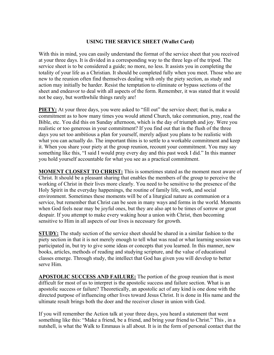# **USING THE SERVICE SHEET (Wallet Card)**

With this in mind, you can easily understand the format of the service sheet that you received at your three days. It is divided in a corresponding way to the three legs of the tripod. The service sheet is to be considered a guide; no more, no less. It assists you in completing the totality of your life as a Christian. It should be completed fully when you meet. Those who are new to the reunion often find themselves dealing with only the piety section, as study and action may initially be harder. Resist the temptation to eliminate or bypass sections of the sheet and endeavor to deal with all aspects of the form. Remember, it was stated that it would not be easy, but worthwhile things rarely are!

**PIETY:** At your three days, you were asked to "fill out" the service sheet; that is, make a commitment as to how many times you would attend Church, take communion, pray, read the Bible, etc. You did this on Sunday afternoon, which is the day of triumph and joy. Were you realistic or too generous in your commitment? If you find out that in the flush of the three days you set too ambitious a plan for yourself, merely adjust you plans to be realistic with what you can actually do. The important thins is to settle to a workable commitment and keep it. When you share your piety at the group reunion, recount your commitment. You may say something like this, "I said I would pray every day and this past week I did." In this manner you hold yourself accountable for what you see as a practical commitment.

**MOMENT CLOSEST TO CHRIST:** This is sometimes stated as the moment most aware of Christ. It should be a pleasant sharing that enables the members of the group to perceive the working of Christ in their lives more clearly. You need to be sensitive to the presence of the Holy Spirit in the everyday happenings, the routine of family life, work, and social environment. Sometimes these moments will be of a liturgical nature as communion or a service, but remember that Christ can be seen in many ways and forms in the world. Moments when God feels near may be joyful ones, but they are also apt to be times of sorrow or great despair. If you attempt to make every waking hour a union with Christ, then becoming sensitive to Him in all aspects of our lives is necessary for growth.

**STUDY:** The study section of the service sheet should be shared in a similar fashion to the piety section in that it is not merely enough to tell what was read or what learning session was participated in, but try to give some ideas or concepts that you learned. In this manner, new books, articles, methods of reading and studying scripture, and the value of educational classes emerge. Through study, the intellect that God has given you will develop to better serve Him.

**APOSTOLIC SUCCESS AND FAILURE:** The portion of the group reunion that is most difficult for most of us to interpret is the apostolic success and failure section. What is an apostolic success or failure? Theoretically, an apostolic act of any kind is one done with the directed purpose of influencing other lives toward Jesus Christ. It is done in His name and the ultimate result brings both the doer and the receiver closer in union with God.

If you will remember the Action talk at your three days, you heard a statement that went something like this: "Make a friend, be a friend, and bring your friend to Christ." This , in a nutshell, is what the Walk to Emmaus is all about. It is in the form of personal contact that the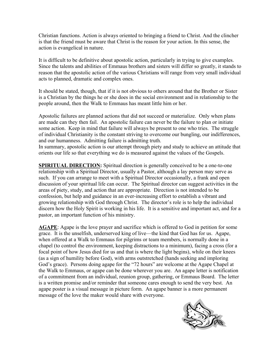Christian functions. Action is always oriented to bringing a friend to Christ. And the clincher is that the friend must be aware that Christ is the reason for your action. In this sense, the action is evangelical in nature.

It is difficult to be definitive about apostolic action, particularly in trying to give examples. Since the talents and abilities of Emmaus brothers and sisters will differ so greatly, it stands to reason that the apostolic action of the various Christians will range from very small individual acts to planned, dramatic and complex ones.

It should be stated, though, that if it is not obvious to others around that the Brother or Sister is a Christian by the things he or she does in the social environment and in relationship to the people around, then the Walk to Emmaus has meant little him or her.

Apostolic failures are planned actions that did not succeed or materialize. Only when plans are made can they then fail. An apostolic failure can never be the failure to plan or initiate some action. Keep in mind that failure will always be present to one who tries. The struggle of individual Christianity is the constant striving to overcome our bungling, our indifferences, and our humanness. Admitting failure is admitting truth.

In summary, apostolic action is our attempt through piety and study to achieve an attitude that orients our life so that everything we do is measured against the values of the Gospels.

**SPIRITUAL DIRECTION:** Spiritual direction is generally conceived to be a one-to-one relationship with a Spiritual Director, usually a Pastor, although a lay person may serve as such. If you can arrange to meet with a Spiritual Director occasionally, a frank and open discussion of your spiritual life can occur. The Spiritual director can suggest activities in the areas of piety, study, and action that are appropriate. Direction is not intended to be confession, but help and guidance in an ever-increasing effort to establish a vibrant and growing relationship with God through Christ. The director's role is to help the individual discern how the Holy Spirit is working in his life. It is a sensitive and important act, and for a pastor, an important function of his ministry.

**AGAPE**: Agape is the love prayer and sacrifice which is offered to God in petition for some grace. It is the unselfish, underserved king of live—the kind that God has for us. Agape, when offered at a Walk to Emmaus for pilgrims or team members, is normally done in a chapel (to control the environment, keeping distractions to a minimum), facing a cross (for a focal point of how Jesus died for us and that is where the light begins), while on their knees (as a sign of humility before God), with arms outstretched (hands seeking and imploring God's grace). Persons doing agape for the "72 hours" are welcome at the Agape Chapel at the Walk to Emmaus, or agape can be done wherever you are. An agape letter is notification of a commitment from an individual, reunion group, gathering, or Emmaus Board. The letter is a written promise and/or reminder that someone cares enough to send the very best. An agape poster is a visual message in picture form. An agape banner is a more permanent message of the love the maker would share with everyone.

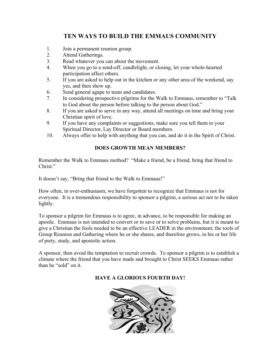# **TEN WAYS TO BUILD THE EMMAUS COMMUNITY**

- 1. Join a permanent reunion group.
- 2. Attend Gatherings.
- 3. Read whatever you can about the movement.
- 4. When you go to a send-off, candlelight, or closing, let your whole-hearted participation affect others.
- 5. If you are asked to help out in the kitchen or any other area of the weekend, say yes, and then show up.
- 6. Send general agape to team and candidates.
- 7. In considering prospective pilgrims for the Walk to Emmaus, remember to "Talk to God about the person before talking to the person about God."
- 8. If you are asked to serve in any way, attend all meetings on time and bring your Christian spirit of love.
- 9. If you have any complaints or suggestions, make sure you tell them to your Spiritual Director, Lay Director or Board members.
- 10. Always offer to help with anything that you can, and do it in the Spirit of Christ.

# **DOES GROWTH MEAN MEMBERS?**

Remember the Walk to Emmaus method? "Make a friend, be a friend, bring that friend to Christ."

It doesn't say, "Bring that friend to the Walk to Emmaus!"

How often, in over-enthusiasm, we have forgotten to recognize that Emmaus is not for everyone. It is a tremendous responsibility to sponsor a pilgrim, a serious act not to be taken lightly.

To sponsor a pilgrim for Emmaus is to agree, in advance, to be responsible for making an apostle. Emmaus is not intended to convert or to save or to solve problems, but it is meant to give a Christian the fools needed to be an effective LEADER in the environment; the tools of Group Reunion and Gathering where he or she shares, and therefore grows, in his or her life of piety, study, and apostolic action.

A sponsor, then avoid the temptation to recruit crowds. To sponsor a pilgrim is to establish a climate where the friend that you have made and brought to Christ SEEKS Emmaus rather than be "sold" on it.

# **HAVE A GLORIOUS FOURTH DAY!**

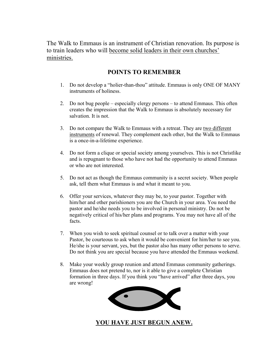The Walk to Emmaus is an instrument of Christian renovation. Its purpose is to train leaders who will become solid leaders in their own churches' ministries.

# **POINTS TO REMEMBER**

- 1. Do not develop a "holier-than-thou" attitude. Emmaus is only ONE OF MANY instruments of holiness.
- 2. Do not bug people especially clergy persons to attend Emmaus. This often creates the impression that the Walk to Emmaus is absolutely necessary for salvation. It is not.
- 3. Do not compare the Walk to Emmaus with a retreat. They are two different instruments of renewal. They complement each other, but the Walk to Emmaus is a once-in-a-lifetime experience.
- 4. Do not form a clique or special society among yourselves. This is not Christlike and is repugnant to those who have not had the opportunity to attend Emmaus or who are not interested.
- 5. Do not act as though the Emmaus community is a secret society. When people ask, tell them what Emmaus is and what it meant to you.
- 6. Offer your services, whatever they may be, to your pastor. Together with him/her and other parishioners you are the Church in your area. You need the pastor and he/she needs you to be involved in personal ministry. Do not be negatively critical of his/her plans and programs. You may not have all of the facts.
- 7. When you wish to seek spiritual counsel or to talk over a matter with your Pastor, be courteous to ask when it would be convenient for him/her to see you. He/she is your servant, yes, but the pastor also has many other persons to serve. Do not think you are special because you have attended the Emmaus weekend.
- 8. Make your weekly group reunion and attend Emmaus community gatherings. Emmaus does not pretend to, nor is it able to give a complete Christian formation in three days. If you think you "have arrived" after three days, you are wrong!



# **YOU HAVE JUST BEGUN ANEW.**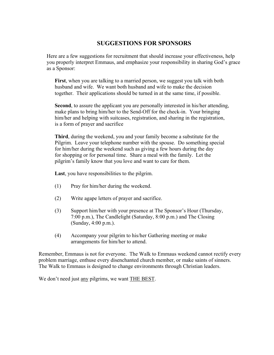# **SUGGESTIONS FOR SPONSORS**

Here are a few suggestions for recruitment that should increase your effectiveness, help you properly interpret Emmaus, and emphasize your responsibility in sharing God's grace as a Sponsor:

**First**, when you are talking to a married person, we suggest you talk with both husband and wife. We want both husband and wife to make the decision together. Their applications should be turned in at the same time, if possible.

**Second**, to assure the applicant you are personally interested in his/her attending, make plans to bring him/her to the Send-Off for the check-in. Your bringing him/her and helping with suitcases, registration, and sharing in the registration, is a form of prayer and sacrifice

**Third**, during the weekend, you and your family become a substitute for the Pilgrim. Leave your telephone number with the spouse. Do something special for him/her during the weekend such as giving a few hours during the day for shopping or for personal time. Share a meal with the family. Let the pilgrim's family know that you love and want to care for them.

**Last**, you have responsibilities to the pilgrim.

- (1) Pray for him/her during the weekend.
- (2) Write agape letters of prayer and sacrifice.
- (3) Support him/her with your presence at The Sponsor's Hour (Thursday, 7:00 p.m.), The Candlelight (Saturday, 8:00 p.m.) and The Closing (Sunday, 4:00 p.m.).
- (4) Accompany your pilgrim to his/her Gathering meeting or make arrangements for him/her to attend.

Remember, Emmaus is not for everyone. The Walk to Emmaus weekend cannot rectify every problem marriage, enthuse every disenchanted church member, or make saints of sinners. The Walk to Emmaus is designed to change environments through Christian leaders.

We don't need just any pilgrims, we want THE BEST.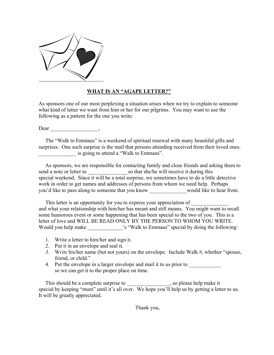

# **WHAT IS AN "AGAPE LETTER?"**

As sponsors one of our most perplexing a situation arises when we try to explain to someone what kind of letter we want from him or her for our pilgrims. You may want to use the following as a pattern for the one you write:

Dear \_\_\_\_\_\_\_\_\_\_\_\_\_\_\_\_\_\_,

 The "Walk to Emmaus" is a weekend of spiritual renewal with many beautiful gifts and surprises. One such surprise is the mail that persons attending received from their loved ones. \_\_\_\_\_\_\_\_\_\_\_\_\_\_ is going to attend a "Walk to Emmaus".

 As sponsors, we are responsible for contacting family and close friends and asking them to send a note or letter to so that she/he will receive it during this special weekend. Since it will be a total surprise, we sometimes have to do a little detective work in order to get names and addresses of persons from whom we need help. Perhaps you'd like to pass along to someone that you know \_\_\_\_\_\_\_\_\_\_\_\_\_\_would like to hear from.

This letter is an opportunity for you to express your appreciation of and what your relationship with him/her has meant and still means. You might want to recall some humorous event or some happening that has been special to the two of you. This is a letter of love and WILL BE READ ONLY BY THE PERSON TO WHOM YOU WRITE. Would you help make  $\cdot$  's "Walk to Emmaus" special by doing the following:

- 1. Write a letter to him/her and sign it.
- 2. Put it in an envelope and seal it.
- *3.* W*rite* his/her name (but not yours) on the envelope. Include Walk #, whether "spouse, friend, or child."
- 4. Put the envelope in a larger envelope and mail it to us prior to so we can get it to the proper place on time.

This should be a complete surprise to \_\_\_\_\_\_\_\_\_\_\_\_\_\_, so please help make it special by keeping "mum" until it's all over. We hope you'll help us by getting a letter to us. It will be greatly appreciated.

Thank you,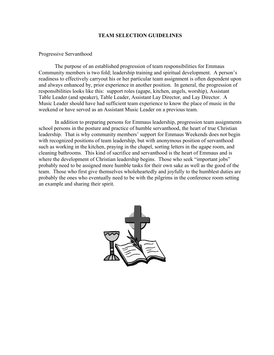### **TEAM SELECTION GUIDELINES**

### Progressive Servanthood

The purpose of an established progression of team responsibilities for Emmaus Community members is two fold; leadership training and spiritual development. A person's readiness to effectively carryout his or her particular team assignment is often dependent upon and always enhanced by, prior experience in another position. In general, the progression of responsibilities looks like this: support roles (agape, kitchen, angels, worship), Assistant Table Leader (and speaker), Table Leader, Assistant Lay Director, and Lay Director. A Music Leader should have had sufficient team experience to know the place of music in the weekend or have served as an Assistant Music Leader on a previous team.

In addition to preparing persons for Emmaus leadership, progression team assignments school persons in the posture and practice of humble servanthood, the heart of true Christian leadership. That is why community members' support for Emmaus Weekends does not begin with recognized positions of team leadership, but with anonymous position of servanthood such as working in the kitchen, praying in the chapel, sorting letters in the agape room, and cleaning bathrooms. This kind of sacrifice and servanthood is the heart of Emmaus and is where the development of Christian leadership begins. Those who seek "important jobs" probably need to be assigned more humble tasks for their own sake as well as the good of the team. Those who first give themselves wholeheartedly and joyfully to the humblest duties are probably the ones who eventually need to be with the pilgrims in the conference room setting an example and sharing their spirit.

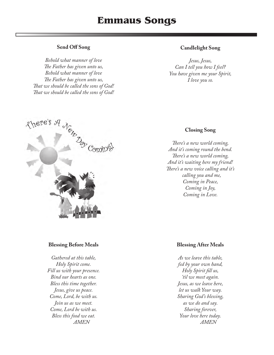# **Emmaus Songs**

# **Send Off Song**

*Behold what manner of love Th e Father has given unto us, Behold what manner of love Th e Father has given unto us, Th at we should be called the sons of God! Th at we should be called the sons of God!*

# **Candlelight Song**

*Jesus, Jesus, Can I tell you how I feel? You have given me your Spirit, I love you so.*



# **Closing Song**

*Th ere's a new world coming, And it's coming round the bend. Th ere's a new world coming, And it's waiting here my friend! Th ere's a new voice calling and it's calling you and me, Coming in Peace, Coming in Joy, Coming in Love.*

### **Blessing Before Meals**

*Gathered at this table, Holy Spirit come. Fill us with your presence. Bind our hearts as one. Bless this time together. Jesus, give us peace. Come, Lord, be with us. Join us as we meet. Come, Lord be with us. Bless this food we eat. AMEN*

# **Blessing After Meals**

*As we leave this table, fed by your own hand, Holy Spirit fill us, 'til we meet again. Jesus, as we leave here, let us walk Your way. Sharing God's blessing, as we do and say. Sharing forever, Your love here today. AMEN*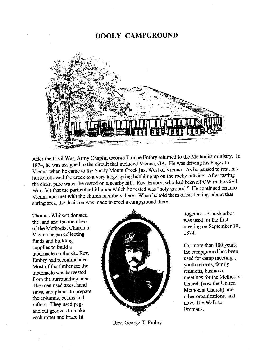# **DOOLY CAMPGROUND**



After the Civil War, Army Chaplin George Troupe Embry returned to the Methodist ministry. In 1874, he was assigned to the circuit that included Vienna, GA. He was driving his buggy to Vienna when he came to the Sandy Mount Creek just West of Vienna. As he paused to rest, his horse followed the creek to a very large spring bubbling up on the rocky hillside. After tasting the clear, pure water, he rested on a nearby hill. Rev. Embry, who had been a POW in the Civil War, felt that the particular hill upon which he rested was "holy ground." He continued on into Vienna and met with the church members there. When he told them of his feelings about that spring area, the decision was made to erect a campground there.

Thomas Whitsett donated the land and the members of the Methodist Church in Vienna began collecting funds and building supplies to build a tabernacle on the site Rev. Embry had recommended. Most of the timber for the tabernacle was harvested from the surrounding area. The men used axes, hand saws, and planes to prepare the columns, beams and rafters. They used pegs and cut grooves to make each rafter and brace fit



Rev. George T. Embry

together. A bush arbor was used for the first meeting on September 10, 1874.

For more than 100 years, the campground has been used for camp meetings, youth retreats, family reunions, business meetings for the Methodist Church (now the United Methodist Church) and other organizations, and now, The Walk to Emmaus.